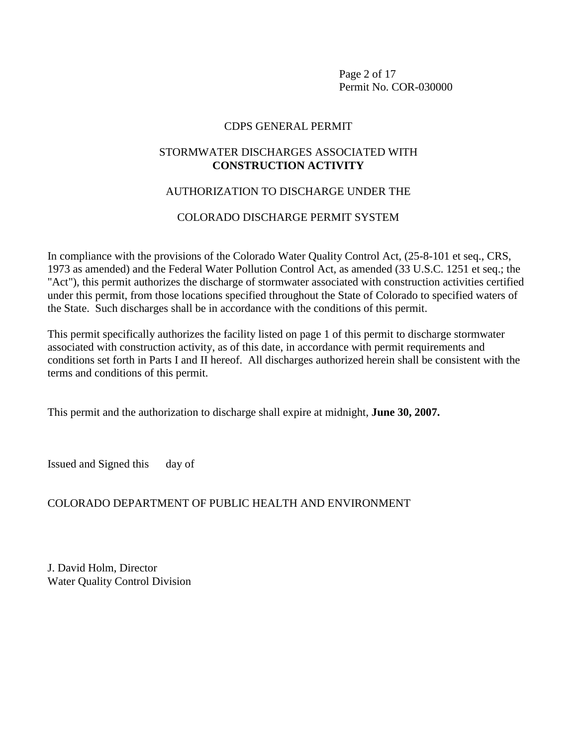Page 2 of 17 Permit No. COR-030000

# CDPS GENERAL PERMIT

# STORMWATER DISCHARGES ASSOCIATED WITH **CONSTRUCTION ACTIVITY**

# AUTHORIZATION TO DISCHARGE UNDER THE

# COLORADO DISCHARGE PERMIT SYSTEM

In compliance with the provisions of the Colorado Water Quality Control Act, (25-8-101 et seq., CRS, 1973 as amended) and the Federal Water Pollution Control Act, as amended (33 U.S.C. 1251 et seq.; the "Act"), this permit authorizes the discharge of stormwater associated with construction activities certified under this permit, from those locations specified throughout the State of Colorado to specified waters of the State. Such discharges shall be in accordance with the conditions of this permit.

This permit specifically authorizes the facility listed on page 1 of this permit to discharge stormwater associated with construction activity, as of this date, in accordance with permit requirements and conditions set forth in Parts I and II hereof. All discharges authorized herein shall be consistent with the terms and conditions of this permit.

This permit and the authorization to discharge shall expire at midnight, **June 30, 2007.**

Issued and Signed this day of

# COLORADO DEPARTMENT OF PUBLIC HEALTH AND ENVIRONMENT

J. David Holm, Director Water Quality Control Division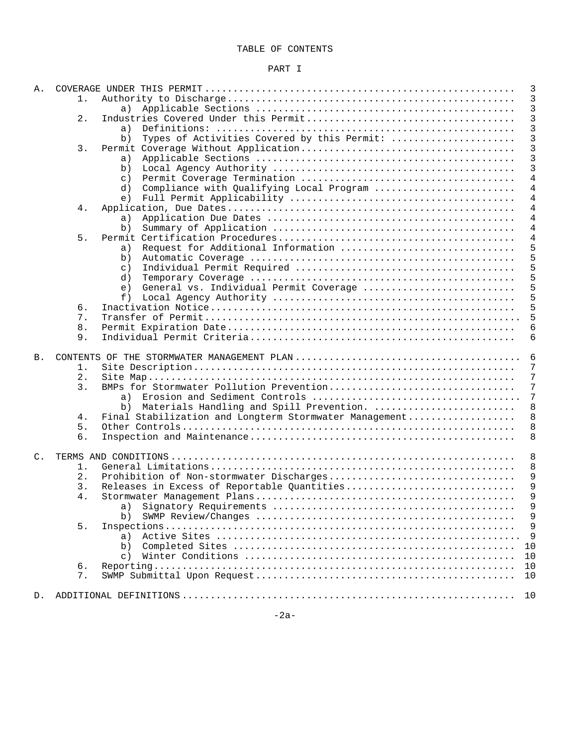## TABLE OF CONTENTS

## PART I

| Α.             |          | 3                                                           |  |  |
|----------------|----------|-------------------------------------------------------------|--|--|
|                | 1.       | 3                                                           |  |  |
|                |          | 3<br>a)                                                     |  |  |
|                | 2.       | 3                                                           |  |  |
|                |          | 3<br>a)                                                     |  |  |
|                |          | 3<br>Types of Activities Covered by this Permit:<br>b)      |  |  |
|                | $3$ .    | 3                                                           |  |  |
|                |          | 3<br>a)                                                     |  |  |
|                |          | 3<br>b)                                                     |  |  |
|                |          | $\overline{4}$<br>$\mathsf{C}$ )                            |  |  |
|                |          | 4<br>Compliance with Qualifying Local Program<br>d)         |  |  |
|                |          | 4<br>e)                                                     |  |  |
|                | 4.       | 4                                                           |  |  |
|                |          | $\overline{4}$<br>a)                                        |  |  |
|                |          | 4<br>b)                                                     |  |  |
|                | 5.       | 4                                                           |  |  |
|                |          | Request for Additional Information<br>5<br>a)               |  |  |
|                |          | 5<br>b)                                                     |  |  |
|                |          | 5<br>$\circ$ )                                              |  |  |
|                |          | 5<br>d)                                                     |  |  |
|                |          | 5<br>General vs. Individual Permit Coverage<br>e)           |  |  |
|                |          | 5<br>f)                                                     |  |  |
|                | б.       | 5                                                           |  |  |
|                | 7.       | 5                                                           |  |  |
|                | 8.       | 6                                                           |  |  |
|                | 9.       | 6                                                           |  |  |
|                |          |                                                             |  |  |
| <b>B</b> .     |          | 6                                                           |  |  |
|                | 1.       | 7                                                           |  |  |
|                | 2.       | 7                                                           |  |  |
|                | 3.       | BMPs for Stormwater Pollution Prevention<br>7               |  |  |
|                |          | 7<br>a)                                                     |  |  |
|                |          | Materials Handling and Spill Prevention.<br>8<br>b)         |  |  |
|                | 4.       | Final Stabilization and Longterm Stormwater Management<br>8 |  |  |
|                | 5.       | 8                                                           |  |  |
|                | 6.       | 8                                                           |  |  |
|                |          |                                                             |  |  |
| $\mathsf{C}$ . |          | 8                                                           |  |  |
|                | 1.       | 8                                                           |  |  |
|                | 2.       | Prohibition of Non-stormwater Discharges<br>9               |  |  |
|                | 3.       | 9<br>Releases in Excess of Reportable Quantities            |  |  |
|                | 4.       | 9                                                           |  |  |
|                |          | $\,9$                                                       |  |  |
|                |          | 9<br>b)                                                     |  |  |
|                | 5.       | 9                                                           |  |  |
|                |          | 9<br>a)                                                     |  |  |
|                |          | 10<br>b)                                                    |  |  |
|                |          | 10<br>$\subset$ )                                           |  |  |
|                | 6.<br>7. | 10<br>10                                                    |  |  |
|                |          |                                                             |  |  |
| D.             |          |                                                             |  |  |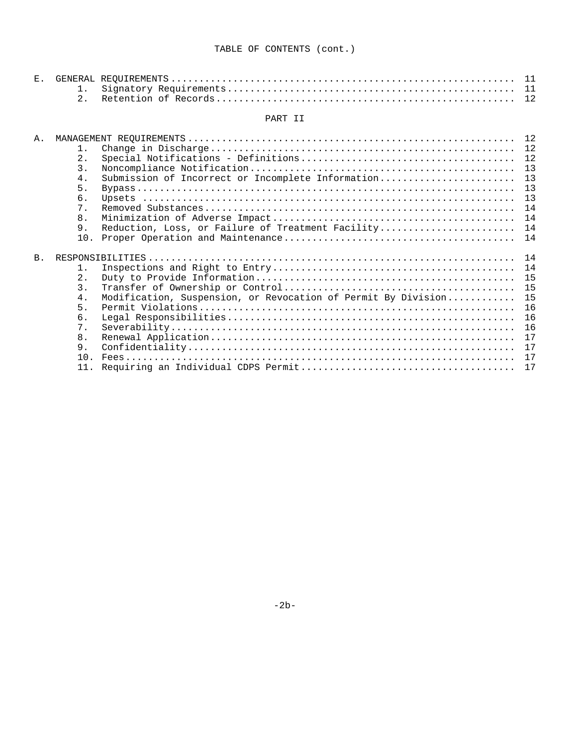## PART II

| Α.             |                  |                                                               |    |
|----------------|------------------|---------------------------------------------------------------|----|
|                | $1$ .            |                                                               |    |
|                | 2.               |                                                               | 12 |
|                | 3.               |                                                               | 13 |
|                | 4.               | Submission of Incorrect or Incomplete Information             | 13 |
|                | 5.               |                                                               | 13 |
|                | 6.               |                                                               | 13 |
|                | $7$ .            |                                                               | 14 |
|                | 8 <sub>1</sub>   |                                                               | 14 |
|                | 9.               | Reduction, Loss, or Failure of Treatment Facility 14          |    |
|                | 10.              |                                                               | 14 |
|                |                  |                                                               |    |
| B <sub>1</sub> |                  |                                                               |    |
|                | 1 <sub>1</sub>   |                                                               | 14 |
|                | 2.1              |                                                               | 15 |
|                | $\overline{3}$ . |                                                               | 15 |
|                | 4.               | Modification, Suspension, or Revocation of Permit By Division | 15 |
|                | 5.               |                                                               | 16 |
|                | б.               |                                                               | 16 |
|                | 7 <sup>1</sup>   |                                                               | 16 |
|                | 8 <sub>1</sub>   |                                                               | 17 |
|                | 9.               |                                                               | 17 |
|                | 10.              |                                                               |    |
|                | 11               |                                                               | 17 |
|                |                  |                                                               |    |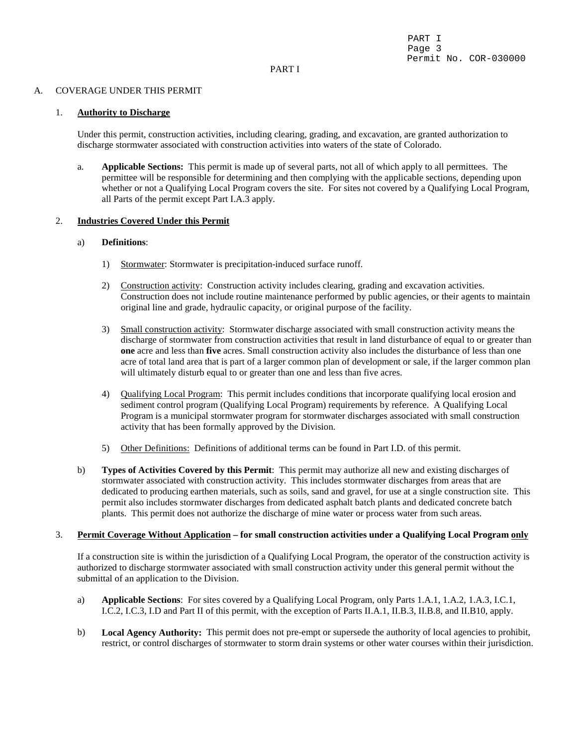#### PART I

#### A. COVERAGE UNDER THIS PERMIT

#### 1. **Authority to Discharge**

Under this permit, construction activities, including clearing, grading, and excavation, are granted authorization to discharge stormwater associated with construction activities into waters of the state of Colorado.

a. **Applicable Sections:** This permit is made up of several parts, not all of which apply to all permittees. The permittee will be responsible for determining and then complying with the applicable sections, depending upon whether or not a Qualifying Local Program covers the site. For sites not covered by a Qualifying Local Program, all Parts of the permit except Part I.A.3 apply.

#### 2. **Industries Covered Under this Permit**

#### a) **Definitions**:

- 1) Stormwater: Stormwater is precipitation-induced surface runoff.
- 2) Construction activity: Construction activity includes clearing, grading and excavation activities. Construction does not include routine maintenance performed by public agencies, or their agents to maintain original line and grade, hydraulic capacity, or original purpose of the facility.
- 3) Small construction activity: Stormwater discharge associated with small construction activity means the discharge of stormwater from construction activities that result in land disturbance of equal to or greater than **one** acre and less than **five** acres. Small construction activity also includes the disturbance of less than one acre of total land area that is part of a larger common plan of development or sale, if the larger common plan will ultimately disturb equal to or greater than one and less than five acres.
- 4) Qualifying Local Program: This permit includes conditions that incorporate qualifying local erosion and sediment control program (Qualifying Local Program) requirements by reference. A Qualifying Local Program is a municipal stormwater program for stormwater discharges associated with small construction activity that has been formally approved by the Division.
- 5) Other Definitions: Definitions of additional terms can be found in Part I.D. of this permit.
- b) **Types of Activities Covered by this Permit**: This permit may authorize all new and existing discharges of stormwater associated with construction activity. This includes stormwater discharges from areas that are dedicated to producing earthen materials, such as soils, sand and gravel, for use at a single construction site. This permit also includes stormwater discharges from dedicated asphalt batch plants and dedicated concrete batch plants. This permit does not authorize the discharge of mine water or process water from such areas.

#### 3. **Permit Coverage Without Application – for small construction activities under a Qualifying Local Program only**

 If a construction site is within the jurisdiction of a Qualifying Local Program, the operator of the construction activity is authorized to discharge stormwater associated with small construction activity under this general permit without the submittal of an application to the Division.

- a) **Applicable Sections**: For sites covered by a Qualifying Local Program, only Parts 1.A.1, 1.A.2, 1.A.3, I.C.1, I.C.2, I.C.3, I.D and Part II of this permit, with the exception of Parts II.A.1, II.B.3, II.B.8, and II.B10, apply.
- b) **Local Agency Authority:** This permit does not pre-empt or supersede the authority of local agencies to prohibit, restrict, or control discharges of stormwater to storm drain systems or other water courses within their jurisdiction.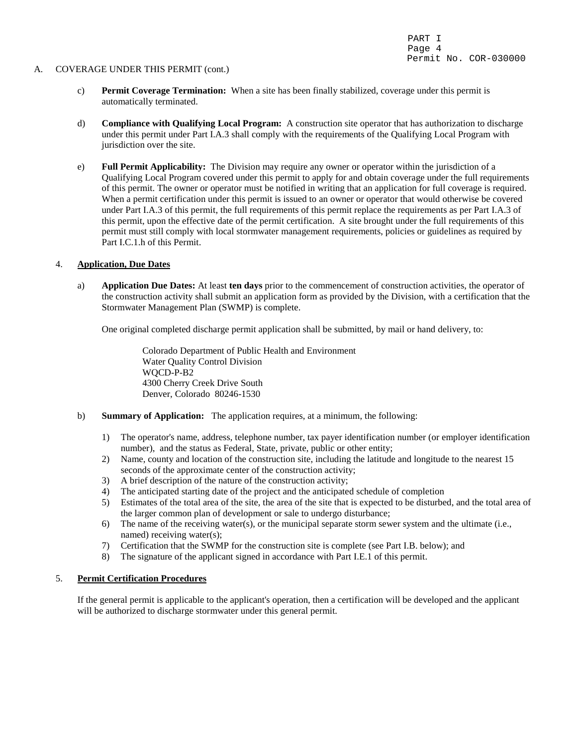#### A. COVERAGE UNDER THIS PERMIT (cont.)

- c) **Permit Coverage Termination:** When a site has been finally stabilized, coverage under this permit is automatically terminated.
- d) **Compliance with Qualifying Local Program:** A construction site operator that has authorization to discharge under this permit under Part I.A.3 shall comply with the requirements of the Qualifying Local Program with jurisdiction over the site.
- e) **Full Permit Applicability:** The Division may require any owner or operator within the jurisdiction of a Qualifying Local Program covered under this permit to apply for and obtain coverage under the full requirements of this permit. The owner or operator must be notified in writing that an application for full coverage is required. When a permit certification under this permit is issued to an owner or operator that would otherwise be covered under Part I.A.3 of this permit, the full requirements of this permit replace the requirements as per Part I.A.3 of this permit, upon the effective date of the permit certification. A site brought under the full requirements of this permit must still comply with local stormwater management requirements, policies or guidelines as required by Part I.C.1.h of this Permit.

### 4. **Application, Due Dates**

a) **Application Due Dates:** At least **ten days** prior to the commencement of construction activities, the operator of the construction activity shall submit an application form as provided by the Division, with a certification that the Stormwater Management Plan (SWMP) is complete.

One original completed discharge permit application shall be submitted, by mail or hand delivery, to:

Colorado Department of Public Health and Environment Water Quality Control Division WQCD-P-B2 4300 Cherry Creek Drive South Denver, Colorado 80246-1530

- b) **Summary of Application:** The application requires, at a minimum, the following:
	- 1) The operator's name, address, telephone number, tax payer identification number (or employer identification number), and the status as Federal, State, private, public or other entity;
	- 2) Name, county and location of the construction site, including the latitude and longitude to the nearest 15 seconds of the approximate center of the construction activity;
	- 3) A brief description of the nature of the construction activity;
	- 4) The anticipated starting date of the project and the anticipated schedule of completion
	- 5) Estimates of the total area of the site, the area of the site that is expected to be disturbed, and the total area of the larger common plan of development or sale to undergo disturbance;
	- 6) The name of the receiving water(s), or the municipal separate storm sewer system and the ultimate (i.e., named) receiving water(s);
	- 7) Certification that the SWMP for the construction site is complete (see Part I.B. below); and
	- 8) The signature of the applicant signed in accordance with Part I.E.1 of this permit.

# 5. **Permit Certification Procedures**

If the general permit is applicable to the applicant's operation, then a certification will be developed and the applicant will be authorized to discharge stormwater under this general permit.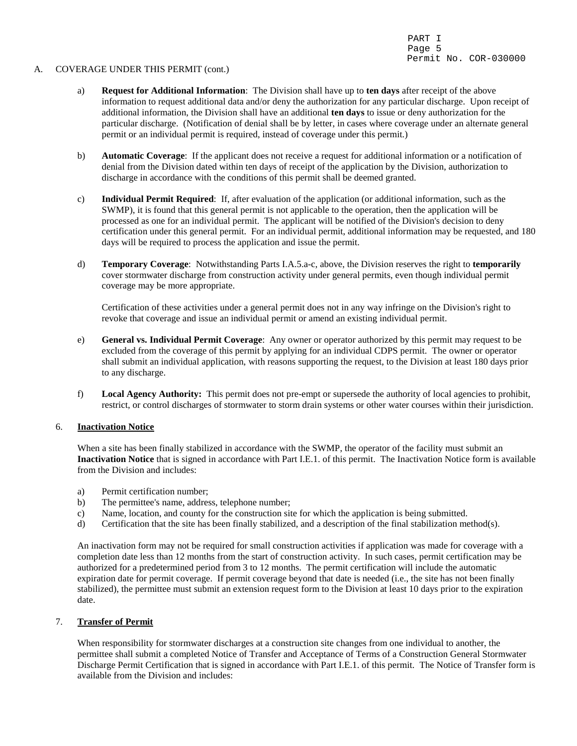#### A. COVERAGE UNDER THIS PERMIT (cont.)

- a) **Request for Additional Information**: The Division shall have up to **ten days** after receipt of the above information to request additional data and/or deny the authorization for any particular discharge. Upon receipt of additional information, the Division shall have an additional **ten days** to issue or deny authorization for the particular discharge. (Notification of denial shall be by letter, in cases where coverage under an alternate general permit or an individual permit is required, instead of coverage under this permit.)
- b) **Automatic Coverage**: If the applicant does not receive a request for additional information or a notification of denial from the Division dated within ten days of receipt of the application by the Division, authorization to discharge in accordance with the conditions of this permit shall be deemed granted.
- c) **Individual Permit Required**: If, after evaluation of the application (or additional information, such as the SWMP), it is found that this general permit is not applicable to the operation, then the application will be processed as one for an individual permit. The applicant will be notified of the Division's decision to deny certification under this general permit. For an individual permit, additional information may be requested, and 180 days will be required to process the application and issue the permit.
- d) **Temporary Coverage**: Notwithstanding Parts I.A.5.a-c, above, the Division reserves the right to **temporarily** cover stormwater discharge from construction activity under general permits, even though individual permit coverage may be more appropriate.

Certification of these activities under a general permit does not in any way infringe on the Division's right to revoke that coverage and issue an individual permit or amend an existing individual permit.

- e) **General vs. Individual Permit Coverage**: Any owner or operator authorized by this permit may request to be excluded from the coverage of this permit by applying for an individual CDPS permit. The owner or operator shall submit an individual application, with reasons supporting the request, to the Division at least 180 days prior to any discharge.
- f) **Local Agency Authority:** This permit does not pre-empt or supersede the authority of local agencies to prohibit, restrict, or control discharges of stormwater to storm drain systems or other water courses within their jurisdiction.

#### 6. **Inactivation Notice**

When a site has been finally stabilized in accordance with the SWMP, the operator of the facility must submit an **Inactivation Notice** that is signed in accordance with Part I.E.1. of this permit. The Inactivation Notice form is available from the Division and includes:

- a) Permit certification number;
- b) The permittee's name, address, telephone number;
- c) Name, location, and county for the construction site for which the application is being submitted.
- d) Certification that the site has been finally stabilized, and a description of the final stabilization method(s).

An inactivation form may not be required for small construction activities if application was made for coverage with a completion date less than 12 months from the start of construction activity. In such cases, permit certification may be authorized for a predetermined period from 3 to 12 months. The permit certification will include the automatic expiration date for permit coverage. If permit coverage beyond that date is needed (i.e., the site has not been finally stabilized), the permittee must submit an extension request form to the Division at least 10 days prior to the expiration date.

# 7. **Transfer of Permit**

When responsibility for stormwater discharges at a construction site changes from one individual to another, the permittee shall submit a completed Notice of Transfer and Acceptance of Terms of a Construction General Stormwater Discharge Permit Certification that is signed in accordance with Part I.E.1. of this permit. The Notice of Transfer form is available from the Division and includes: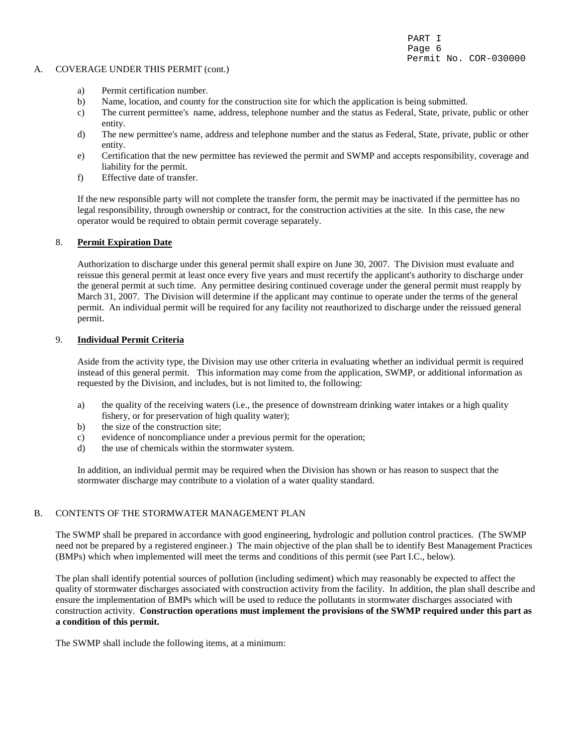#### A. COVERAGE UNDER THIS PERMIT (cont.)

- a) Permit certification number.
- b) Name, location, and county for the construction site for which the application is being submitted.
- c) The current permittee's name, address, telephone number and the status as Federal, State, private, public or other entity.
- d) The new permittee's name, address and telephone number and the status as Federal, State, private, public or other entity.
- e) Certification that the new permittee has reviewed the permit and SWMP and accepts responsibility, coverage and liability for the permit.
- f) Effective date of transfer.

 If the new responsible party will not complete the transfer form, the permit may be inactivated if the permittee has no legal responsibility, through ownership or contract, for the construction activities at the site. In this case, the new operator would be required to obtain permit coverage separately.

## 8. **Permit Expiration Date**

Authorization to discharge under this general permit shall expire on June 30, 2007. The Division must evaluate and reissue this general permit at least once every five years and must recertify the applicant's authority to discharge under the general permit at such time. Any permittee desiring continued coverage under the general permit must reapply by March 31, 2007. The Division will determine if the applicant may continue to operate under the terms of the general permit. An individual permit will be required for any facility not reauthorized to discharge under the reissued general permit.

#### 9. **Individual Permit Criteria**

Aside from the activity type, the Division may use other criteria in evaluating whether an individual permit is required instead of this general permit. This information may come from the application, SWMP, or additional information as requested by the Division, and includes, but is not limited to, the following:

- a) the quality of the receiving waters (i.e., the presence of downstream drinking water intakes or a high quality fishery, or for preservation of high quality water);
- b) the size of the construction site;
- c) evidence of noncompliance under a previous permit for the operation;
- d) the use of chemicals within the stormwater system.

In addition, an individual permit may be required when the Division has shown or has reason to suspect that the stormwater discharge may contribute to a violation of a water quality standard.

## B. CONTENTS OF THE STORMWATER MANAGEMENT PLAN

The SWMP shall be prepared in accordance with good engineering, hydrologic and pollution control practices. (The SWMP need not be prepared by a registered engineer.) The main objective of the plan shall be to identify Best Management Practices (BMPs) which when implemented will meet the terms and conditions of this permit (see Part I.C., below).

The plan shall identify potential sources of pollution (including sediment) which may reasonably be expected to affect the quality of stormwater discharges associated with construction activity from the facility. In addition, the plan shall describe and ensure the implementation of BMPs which will be used to reduce the pollutants in stormwater discharges associated with construction activity. **Construction operations must implement the provisions of the SWMP required under this part as a condition of this permit.**

The SWMP shall include the following items, at a minimum: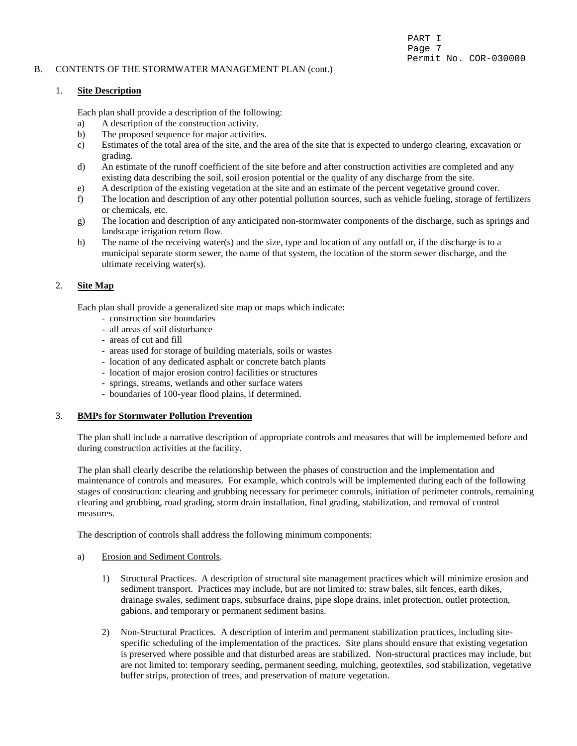## B. CONTENTS OF THE STORMWATER MANAGEMENT PLAN (cont.)

## PART I Page 7 Permit No. COR-030000

## 1. **Site Description**

Each plan shall provide a description of the following:

- a) A description of the construction activity.
- b) The proposed sequence for major activities.
- c) Estimates of the total area of the site, and the area of the site that is expected to undergo clearing, excavation or grading.
- d) An estimate of the runoff coefficient of the site before and after construction activities are completed and any existing data describing the soil, soil erosion potential or the quality of any discharge from the site.
- e) A description of the existing vegetation at the site and an estimate of the percent vegetative ground cover.
- f) The location and description of any other potential pollution sources, such as vehicle fueling, storage of fertilizers or chemicals, etc.
- g) The location and description of any anticipated non-stormwater components of the discharge, such as springs and landscape irrigation return flow.
- h) The name of the receiving water(s) and the size, type and location of any outfall or, if the discharge is to a municipal separate storm sewer, the name of that system, the location of the storm sewer discharge, and the ultimate receiving water(s).

## 2. **Site Map**

Each plan shall provide a generalized site map or maps which indicate:

- construction site boundaries
- all areas of soil disturbance
- areas of cut and fill
- areas used for storage of building materials, soils or wastes
- location of any dedicated asphalt or concrete batch plants
- location of major erosion control facilities or structures
- springs, streams, wetlands and other surface waters
- boundaries of 100-year flood plains, if determined.

#### 3. **BMPs for Stormwater Pollution Prevention**

The plan shall include a narrative description of appropriate controls and measures that will be implemented before and during construction activities at the facility.

The plan shall clearly describe the relationship between the phases of construction and the implementation and maintenance of controls and measures. For example, which controls will be implemented during each of the following stages of construction: clearing and grubbing necessary for perimeter controls, initiation of perimeter controls, remaining clearing and grubbing, road grading, storm drain installation, final grading, stabilization, and removal of control measures.

The description of controls shall address the following minimum components:

- a) Erosion and Sediment Controls.
	- 1) Structural Practices. A description of structural site management practices which will minimize erosion and sediment transport. Practices may include, but are not limited to: straw bales, silt fences, earth dikes, drainage swales, sediment traps, subsurface drains, pipe slope drains, inlet protection, outlet protection, gabions, and temporary or permanent sediment basins.
	- 2) Non-Structural Practices. A description of interim and permanent stabilization practices, including sitespecific scheduling of the implementation of the practices. Site plans should ensure that existing vegetation is preserved where possible and that disturbed areas are stabilized. Non-structural practices may include, but are not limited to: temporary seeding, permanent seeding, mulching, geotextiles, sod stabilization, vegetative buffer strips, protection of trees, and preservation of mature vegetation.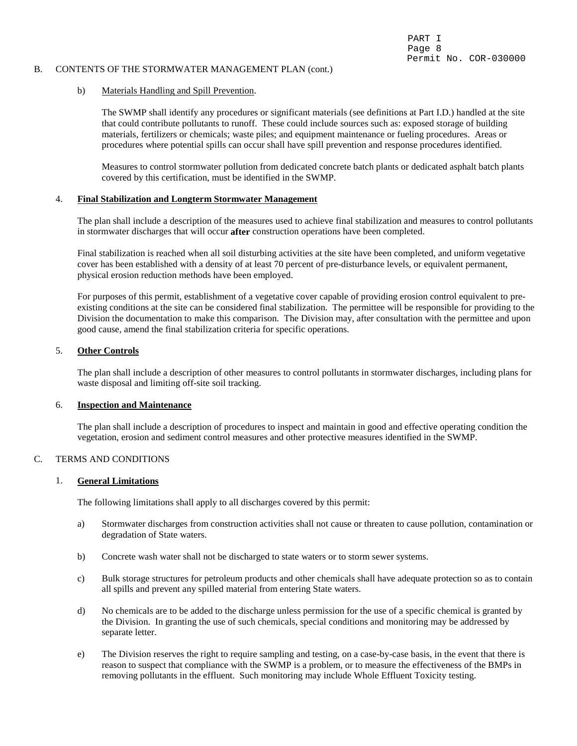#### B. CONTENTS OF THE STORMWATER MANAGEMENT PLAN (cont.)

#### b) Materials Handling and Spill Prevention.

The SWMP shall identify any procedures or significant materials (see definitions at Part I.D.) handled at the site that could contribute pollutants to runoff. These could include sources such as: exposed storage of building materials, fertilizers or chemicals; waste piles; and equipment maintenance or fueling procedures. Areas or procedures where potential spills can occur shall have spill prevention and response procedures identified.

Measures to control stormwater pollution from dedicated concrete batch plants or dedicated asphalt batch plants covered by this certification, must be identified in the SWMP.

#### 4. **Final Stabilization and Longterm Stormwater Management**

The plan shall include a description of the measures used to achieve final stabilization and measures to control pollutants in stormwater discharges that will occur **after** construction operations have been completed.

Final stabilization is reached when all soil disturbing activities at the site have been completed, and uniform vegetative cover has been established with a density of at least 70 percent of pre-disturbance levels, or equivalent permanent, physical erosion reduction methods have been employed.

For purposes of this permit, establishment of a vegetative cover capable of providing erosion control equivalent to preexisting conditions at the site can be considered final stabilization. The permittee will be responsible for providing to the Division the documentation to make this comparison. The Division may, after consultation with the permittee and upon good cause, amend the final stabilization criteria for specific operations.

#### 5. **Other Controls**

The plan shall include a description of other measures to control pollutants in stormwater discharges, including plans for waste disposal and limiting off-site soil tracking.

#### 6. **Inspection and Maintenance**

The plan shall include a description of procedures to inspect and maintain in good and effective operating condition the vegetation, erosion and sediment control measures and other protective measures identified in the SWMP.

## C. TERMS AND CONDITIONS

#### 1. **General Limitations**

The following limitations shall apply to all discharges covered by this permit:

- a) Stormwater discharges from construction activities shall not cause or threaten to cause pollution, contamination or degradation of State waters.
- b) Concrete wash water shall not be discharged to state waters or to storm sewer systems.
- c) Bulk storage structures for petroleum products and other chemicals shall have adequate protection so as to contain all spills and prevent any spilled material from entering State waters.
- d) No chemicals are to be added to the discharge unless permission for the use of a specific chemical is granted by the Division. In granting the use of such chemicals, special conditions and monitoring may be addressed by separate letter.
- e) The Division reserves the right to require sampling and testing, on a case-by-case basis, in the event that there is reason to suspect that compliance with the SWMP is a problem, or to measure the effectiveness of the BMPs in removing pollutants in the effluent. Such monitoring may include Whole Effluent Toxicity testing.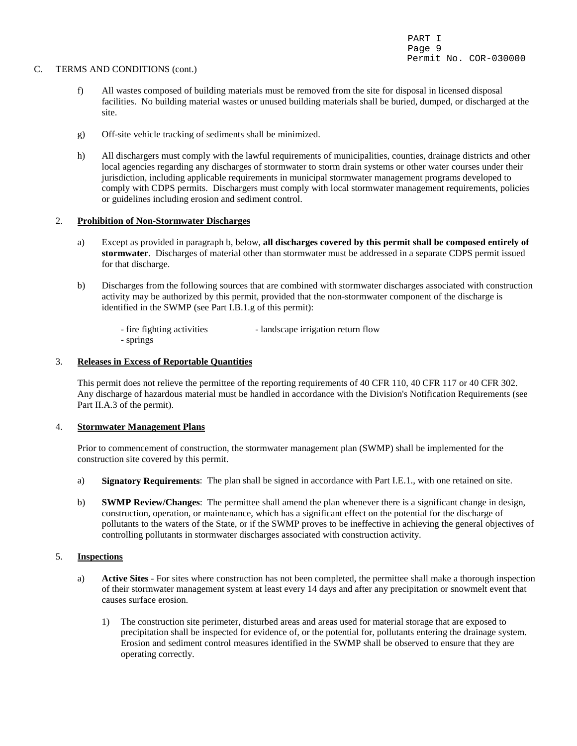#### C. TERMS AND CONDITIONS (cont.)

- f) All wastes composed of building materials must be removed from the site for disposal in licensed disposal facilities. No building material wastes or unused building materials shall be buried, dumped, or discharged at the site.
- g) Off-site vehicle tracking of sediments shall be minimized.
- h) All dischargers must comply with the lawful requirements of municipalities, counties, drainage districts and other local agencies regarding any discharges of stormwater to storm drain systems or other water courses under their jurisdiction, including applicable requirements in municipal stormwater management programs developed to comply with CDPS permits. Dischargers must comply with local stormwater management requirements, policies or guidelines including erosion and sediment control.

#### 2. **Prohibition of Non-Stormwater Discharges**

- a) Except as provided in paragraph b, below, **all discharges covered by this permit shall be composed entirely of stormwater**. Discharges of material other than stormwater must be addressed in a separate CDPS permit issued for that discharge.
- b) Discharges from the following sources that are combined with stormwater discharges associated with construction activity may be authorized by this permit, provided that the non-stormwater component of the discharge is identified in the SWMP (see Part I.B.1.g of this permit):

- fire fighting activities - landscape irrigation return flow - springs

#### 3. **Releases in Excess of Reportable Quantities**

This permit does not relieve the permittee of the reporting requirements of 40 CFR 110, 40 CFR 117 or 40 CFR 302. Any discharge of hazardous material must be handled in accordance with the Division's Notification Requirements (see Part II.A.3 of the permit).

#### 4. **Stormwater Management Plans**

Prior to commencement of construction, the stormwater management plan (SWMP) shall be implemented for the construction site covered by this permit.

- a) **Signatory Requirements**: The plan shall be signed in accordance with Part I.E.1., with one retained on site.
- b) **SWMP Review/Changes**: The permittee shall amend the plan whenever there is a significant change in design, construction, operation, or maintenance, which has a significant effect on the potential for the discharge of pollutants to the waters of the State, or if the SWMP proves to be ineffective in achieving the general objectives of controlling pollutants in stormwater discharges associated with construction activity.

#### 5. **Inspections**

- a) **Active Sites** For sites where construction has not been completed, the permittee shall make a thorough inspection of their stormwater management system at least every 14 days and after any precipitation or snowmelt event that causes surface erosion.
	- 1) The construction site perimeter, disturbed areas and areas used for material storage that are exposed to precipitation shall be inspected for evidence of, or the potential for, pollutants entering the drainage system. Erosion and sediment control measures identified in the SWMP shall be observed to ensure that they are operating correctly.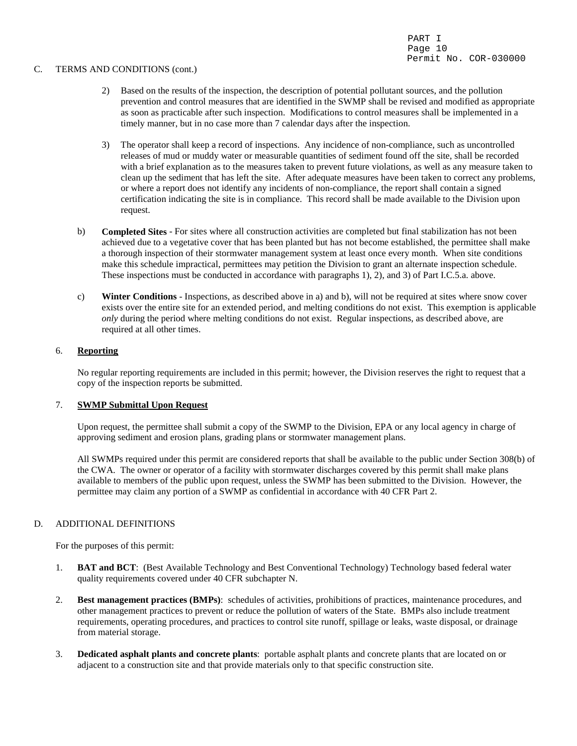#### C. TERMS AND CONDITIONS (cont.)

- 2) Based on the results of the inspection, the description of potential pollutant sources, and the pollution prevention and control measures that are identified in the SWMP shall be revised and modified as appropriate as soon as practicable after such inspection. Modifications to control measures shall be implemented in a timely manner, but in no case more than 7 calendar days after the inspection.
- 3) The operator shall keep a record of inspections. Any incidence of non-compliance, such as uncontrolled releases of mud or muddy water or measurable quantities of sediment found off the site, shall be recorded with a brief explanation as to the measures taken to prevent future violations, as well as any measure taken to clean up the sediment that has left the site. After adequate measures have been taken to correct any problems, or where a report does not identify any incidents of non-compliance, the report shall contain a signed certification indicating the site is in compliance. This record shall be made available to the Division upon request.
- b) **Completed Sites** For sites where all construction activities are completed but final stabilization has not been achieved due to a vegetative cover that has been planted but has not become established, the permittee shall make a thorough inspection of their stormwater management system at least once every month. When site conditions make this schedule impractical, permittees may petition the Division to grant an alternate inspection schedule. These inspections must be conducted in accordance with paragraphs 1), 2), and 3) of Part I.C.5.a. above.
- c) **Winter Conditions** Inspections, as described above in a) and b), will not be required at sites where snow cover exists over the entire site for an extended period, and melting conditions do not exist. This exemption is applicable *only* during the period where melting conditions do not exist. Regular inspections, as described above, are required at all other times.

## 6. **Reporting**

No regular reporting requirements are included in this permit; however, the Division reserves the right to request that a copy of the inspection reports be submitted.

#### 7. **SWMP Submittal Upon Request**

Upon request, the permittee shall submit a copy of the SWMP to the Division, EPA or any local agency in charge of approving sediment and erosion plans, grading plans or stormwater management plans.

All SWMPs required under this permit are considered reports that shall be available to the public under Section 308(b) of the CWA. The owner or operator of a facility with stormwater discharges covered by this permit shall make plans available to members of the public upon request, unless the SWMP has been submitted to the Division. However, the permittee may claim any portion of a SWMP as confidential in accordance with 40 CFR Part 2.

## D. ADDITIONAL DEFINITIONS

For the purposes of this permit:

- 1. **BAT and BCT**: (Best Available Technology and Best Conventional Technology) Technology based federal water quality requirements covered under 40 CFR subchapter N.
- 2. **Best management practices (BMPs)**: schedules of activities, prohibitions of practices, maintenance procedures, and other management practices to prevent or reduce the pollution of waters of the State. BMPs also include treatment requirements, operating procedures, and practices to control site runoff, spillage or leaks, waste disposal, or drainage from material storage.
- 3. **Dedicated asphalt plants and concrete plants**: portable asphalt plants and concrete plants that are located on or adjacent to a construction site and that provide materials only to that specific construction site.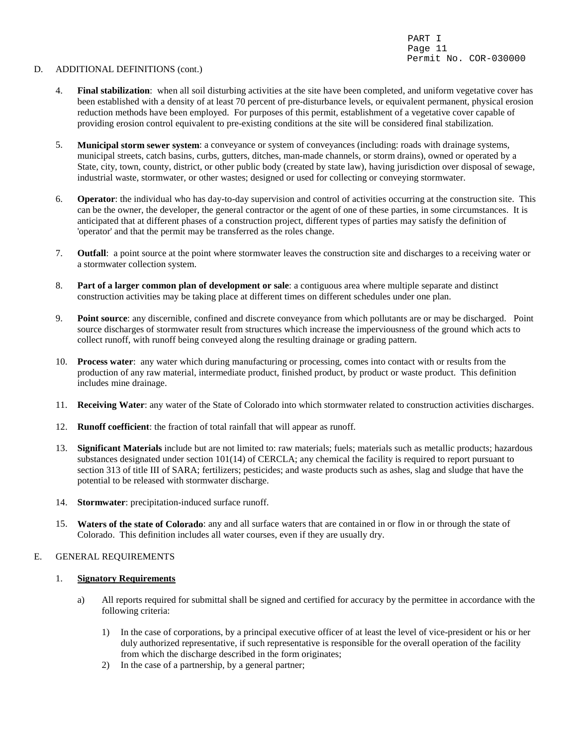#### D. ADDITIONAL DEFINITIONS (cont.)

- 4. **Final stabilization**: when all soil disturbing activities at the site have been completed, and uniform vegetative cover has been established with a density of at least 70 percent of pre-disturbance levels, or equivalent permanent, physical erosion reduction methods have been employed. For purposes of this permit, establishment of a vegetative cover capable of providing erosion control equivalent to pre-existing conditions at the site will be considered final stabilization.
- 5. **Municipal storm sewer system**: a conveyance or system of conveyances (including: roads with drainage systems, municipal streets, catch basins, curbs, gutters, ditches, man-made channels, or storm drains), owned or operated by a State, city, town, county, district, or other public body (created by state law), having jurisdiction over disposal of sewage, industrial waste, stormwater, or other wastes; designed or used for collecting or conveying stormwater.
- 6. **Operator**: the individual who has day-to-day supervision and control of activities occurring at the construction site. This can be the owner, the developer, the general contractor or the agent of one of these parties, in some circumstances. It is anticipated that at different phases of a construction project, different types of parties may satisfy the definition of 'operator' and that the permit may be transferred as the roles change.
- 7. **Outfall**: a point source at the point where stormwater leaves the construction site and discharges to a receiving water or a stormwater collection system.
- 8. **Part of a larger common plan of development or sale**: a contiguous area where multiple separate and distinct construction activities may be taking place at different times on different schedules under one plan.
- 9. **Point source**: any discernible, confined and discrete conveyance from which pollutants are or may be discharged. Point source discharges of stormwater result from structures which increase the imperviousness of the ground which acts to collect runoff, with runoff being conveyed along the resulting drainage or grading pattern.
- 10. **Process water**: any water which during manufacturing or processing, comes into contact with or results from the production of any raw material, intermediate product, finished product, by product or waste product. This definition includes mine drainage.
- 11. **Receiving Water**: any water of the State of Colorado into which stormwater related to construction activities discharges.
- 12. **Runoff coefficient**: the fraction of total rainfall that will appear as runoff.
- 13. **Significant Materials** include but are not limited to: raw materials; fuels; materials such as metallic products; hazardous substances designated under section 101(14) of CERCLA; any chemical the facility is required to report pursuant to section 313 of title III of SARA; fertilizers; pesticides; and waste products such as ashes, slag and sludge that have the potential to be released with stormwater discharge.
- 14. **Stormwater**: precipitation-induced surface runoff.
- 15. **Waters of the state of Colorado**: any and all surface waters that are contained in or flow in or through the state of Colorado. This definition includes all water courses, even if they are usually dry.

#### E. GENERAL REQUIREMENTS

#### 1. **Signatory Requirements**

- a) All reports required for submittal shall be signed and certified for accuracy by the permittee in accordance with the following criteria:
	- 1) In the case of corporations, by a principal executive officer of at least the level of vice-president or his or her duly authorized representative, if such representative is responsible for the overall operation of the facility from which the discharge described in the form originates;
	- 2) In the case of a partnership, by a general partner;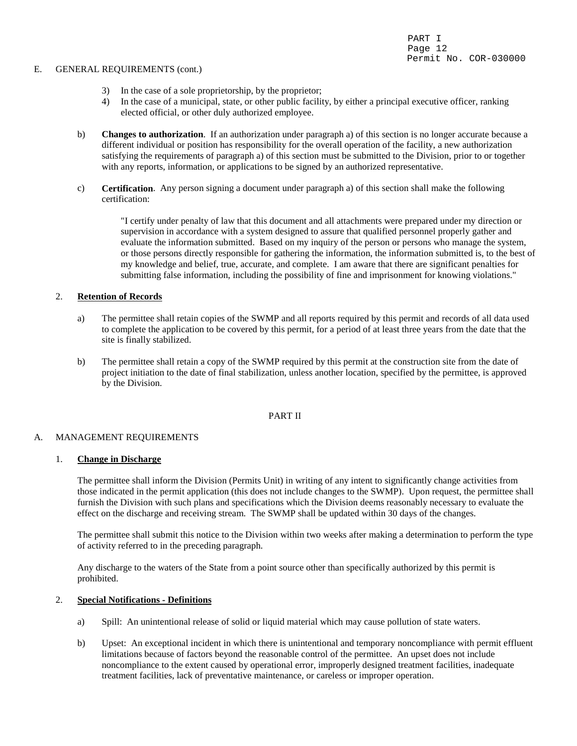#### E. GENERAL REQUIREMENTS (cont.)

- 3) In the case of a sole proprietorship, by the proprietor;
- 4) In the case of a municipal, state, or other public facility, by either a principal executive officer, ranking elected official, or other duly authorized employee.
- b) **Changes to authorization**. If an authorization under paragraph a) of this section is no longer accurate because a different individual or position has responsibility for the overall operation of the facility, a new authorization satisfying the requirements of paragraph a) of this section must be submitted to the Division, prior to or together with any reports, information, or applications to be signed by an authorized representative.
- c) **Certification**. Any person signing a document under paragraph a) of this section shall make the following certification:

"I certify under penalty of law that this document and all attachments were prepared under my direction or supervision in accordance with a system designed to assure that qualified personnel properly gather and evaluate the information submitted. Based on my inquiry of the person or persons who manage the system, or those persons directly responsible for gathering the information, the information submitted is, to the best of my knowledge and belief, true, accurate, and complete. I am aware that there are significant penalties for submitting false information, including the possibility of fine and imprisonment for knowing violations."

## 2. **Retention of Records**

- a) The permittee shall retain copies of the SWMP and all reports required by this permit and records of all data used to complete the application to be covered by this permit, for a period of at least three years from the date that the site is finally stabilized.
- b) The permittee shall retain a copy of the SWMP required by this permit at the construction site from the date of project initiation to the date of final stabilization, unless another location, specified by the permittee, is approved by the Division.

#### PART II

## A. MANAGEMENT REQUIREMENTS

#### 1. **Change in Discharge**

The permittee shall inform the Division (Permits Unit) in writing of any intent to significantly change activities from those indicated in the permit application (this does not include changes to the SWMP). Upon request, the permittee shall furnish the Division with such plans and specifications which the Division deems reasonably necessary to evaluate the effect on the discharge and receiving stream. The SWMP shall be updated within 30 days of the changes.

The permittee shall submit this notice to the Division within two weeks after making a determination to perform the type of activity referred to in the preceding paragraph.

Any discharge to the waters of the State from a point source other than specifically authorized by this permit is prohibited.

#### 2. **Special Notifications - Definitions**

- a) Spill: An unintentional release of solid or liquid material which may cause pollution of state waters.
- b) Upset: An exceptional incident in which there is unintentional and temporary noncompliance with permit effluent limitations because of factors beyond the reasonable control of the permittee. An upset does not include noncompliance to the extent caused by operational error, improperly designed treatment facilities, inadequate treatment facilities, lack of preventative maintenance, or careless or improper operation.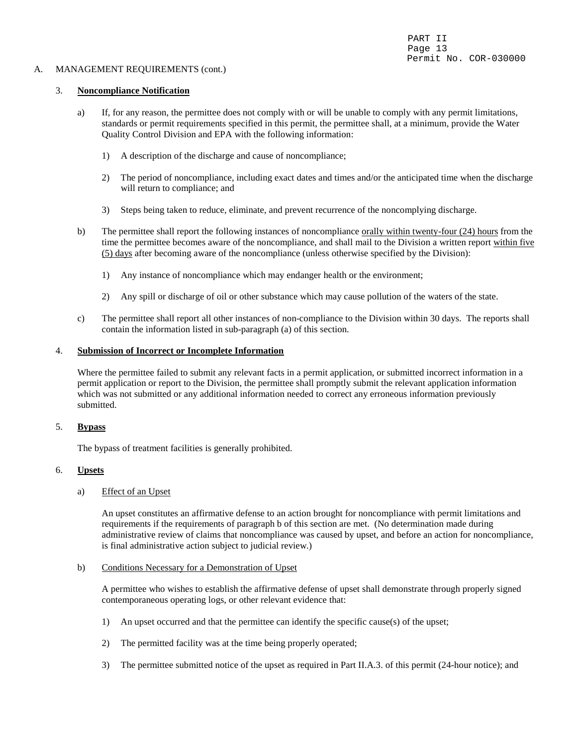### A. MANAGEMENT REQUIREMENTS (cont.)

## 3. **Noncompliance Notification**

- a) If, for any reason, the permittee does not comply with or will be unable to comply with any permit limitations, standards or permit requirements specified in this permit, the permittee shall, at a minimum, provide the Water Quality Control Division and EPA with the following information:
	- 1) A description of the discharge and cause of noncompliance;
	- 2) The period of noncompliance, including exact dates and times and/or the anticipated time when the discharge will return to compliance; and
	- 3) Steps being taken to reduce, eliminate, and prevent recurrence of the noncomplying discharge.
- b) The permittee shall report the following instances of noncompliance orally within twenty-four (24) hours from the time the permittee becomes aware of the noncompliance, and shall mail to the Division a written report within five (5) days after becoming aware of the noncompliance (unless otherwise specified by the Division):
	- 1) Any instance of noncompliance which may endanger health or the environment;
	- 2) Any spill or discharge of oil or other substance which may cause pollution of the waters of the state.
- c) The permittee shall report all other instances of non-compliance to the Division within 30 days. The reports shall contain the information listed in sub-paragraph (a) of this section.

#### 4. **Submission of Incorrect or Incomplete Information**

Where the permittee failed to submit any relevant facts in a permit application, or submitted incorrect information in a permit application or report to the Division, the permittee shall promptly submit the relevant application information which was not submitted or any additional information needed to correct any erroneous information previously submitted.

#### 5. **Bypass**

The bypass of treatment facilities is generally prohibited.

#### 6. **Upsets**

#### a) Effect of an Upset

An upset constitutes an affirmative defense to an action brought for noncompliance with permit limitations and requirements if the requirements of paragraph b of this section are met. (No determination made during administrative review of claims that noncompliance was caused by upset, and before an action for noncompliance, is final administrative action subject to judicial review.)

#### b) Conditions Necessary for a Demonstration of Upset

A permittee who wishes to establish the affirmative defense of upset shall demonstrate through properly signed contemporaneous operating logs, or other relevant evidence that:

- 1) An upset occurred and that the permittee can identify the specific cause(s) of the upset;
- 2) The permitted facility was at the time being properly operated;
- 3) The permittee submitted notice of the upset as required in Part II.A.3. of this permit (24-hour notice); and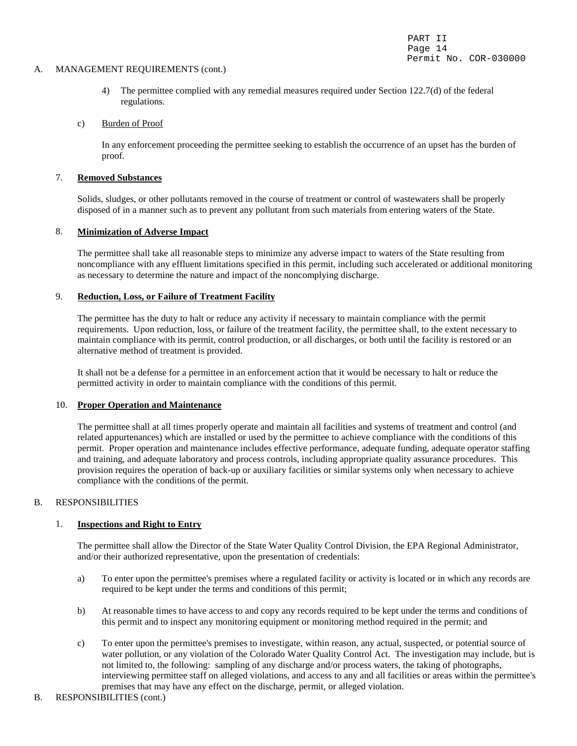#### A. MANAGEMENT REQUIREMENTS (cont.)

4) The permittee complied with any remedial measures required under Section 122.7(d) of the federal regulations.

## c) Burden of Proof

In any enforcement proceeding the permittee seeking to establish the occurrence of an upset has the burden of proof.

## 7. **Removed Substances**

Solids, sludges, or other pollutants removed in the course of treatment or control of wastewaters shall be properly disposed of in a manner such as to prevent any pollutant from such materials from entering waters of the State.

## 8. **Minimization of Adverse Impact**

The permittee shall take all reasonable steps to minimize any adverse impact to waters of the State resulting from noncompliance with any effluent limitations specified in this permit, including such accelerated or additional monitoring as necessary to determine the nature and impact of the noncomplying discharge.

### 9. **Reduction, Loss, or Failure of Treatment Facility**

The permittee has the duty to halt or reduce any activity if necessary to maintain compliance with the permit requirements. Upon reduction, loss, or failure of the treatment facility, the permittee shall, to the extent necessary to maintain compliance with its permit, control production, or all discharges, or both until the facility is restored or an alternative method of treatment is provided.

It shall not be a defense for a permittee in an enforcement action that it would be necessary to halt or reduce the permitted activity in order to maintain compliance with the conditions of this permit.

#### 10. **Proper Operation and Maintenance**

 The permittee shall at all times properly operate and maintain all facilities and systems of treatment and control (and related appurtenances) which are installed or used by the permittee to achieve compliance with the conditions of this permit. Proper operation and maintenance includes effective performance, adequate funding, adequate operator staffing and training, and adequate laboratory and process controls, including appropriate quality assurance procedures. This provision requires the operation of back-up or auxiliary facilities or similar systems only when necessary to achieve compliance with the conditions of the permit.

## B. RESPONSIBILITIES

## 1. **Inspections and Right to Entry**

The permittee shall allow the Director of the State Water Quality Control Division, the EPA Regional Administrator, and/or their authorized representative, upon the presentation of credentials:

- a) To enter upon the permittee's premises where a regulated facility or activity is located or in which any records are required to be kept under the terms and conditions of this permit;
- b) At reasonable times to have access to and copy any records required to be kept under the terms and conditions of this permit and to inspect any monitoring equipment or monitoring method required in the permit; and
- c) To enter upon the permittee's premises to investigate, within reason, any actual, suspected, or potential source of water pollution, or any violation of the Colorado Water Quality Control Act. The investigation may include, but is not limited to, the following: sampling of any discharge and/or process waters, the taking of photographs, interviewing permittee staff on alleged violations, and access to any and all facilities or areas within the permittee's premises that may have any effect on the discharge, permit, or alleged violation.
- B. RESPONSIBILITIES (cont.)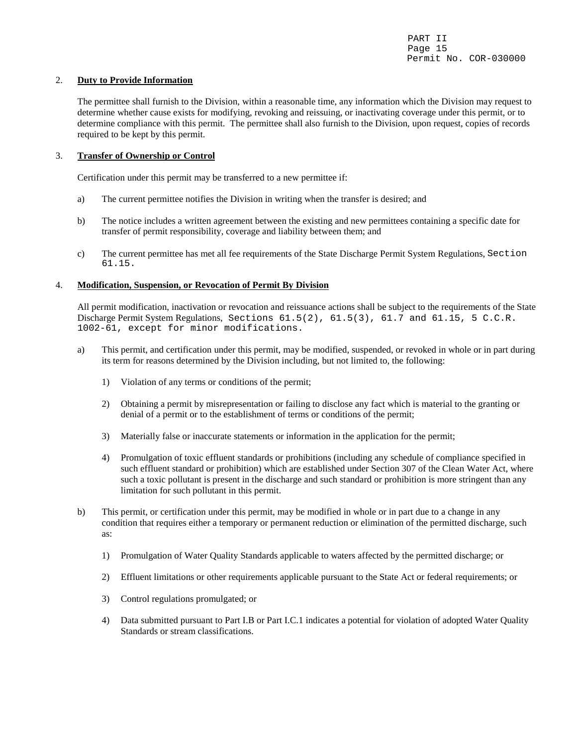## 2. **Duty to Provide Information**

The permittee shall furnish to the Division, within a reasonable time, any information which the Division may request to determine whether cause exists for modifying, revoking and reissuing, or inactivating coverage under this permit, or to determine compliance with this permit. The permittee shall also furnish to the Division, upon request, copies of records required to be kept by this permit.

## 3. **Transfer of Ownership or Control**

Certification under this permit may be transferred to a new permittee if:

- a) The current permittee notifies the Division in writing when the transfer is desired; and
- b) The notice includes a written agreement between the existing and new permittees containing a specific date for transfer of permit responsibility, coverage and liability between them; and
- c) The current permittee has met all fee requirements of the State Discharge Permit System Regulations, Section 61.15.

## 4. **Modification, Suspension, or Revocation of Permit By Division**

All permit modification, inactivation or revocation and reissuance actions shall be subject to the requirements of the State Discharge Permit System Regulations, Sections 61.5(2), 61.5(3), 61.7 and 61.15, 5 C.C.R. 1002-61, except for minor modifications.

- a) This permit, and certification under this permit, may be modified, suspended, or revoked in whole or in part during its term for reasons determined by the Division including, but not limited to, the following:
	- 1) Violation of any terms or conditions of the permit;
	- 2) Obtaining a permit by misrepresentation or failing to disclose any fact which is material to the granting or denial of a permit or to the establishment of terms or conditions of the permit;
	- 3) Materially false or inaccurate statements or information in the application for the permit;
	- 4) Promulgation of toxic effluent standards or prohibitions (including any schedule of compliance specified in such effluent standard or prohibition) which are established under Section 307 of the Clean Water Act, where such a toxic pollutant is present in the discharge and such standard or prohibition is more stringent than any limitation for such pollutant in this permit.
- b) This permit, or certification under this permit, may be modified in whole or in part due to a change in any condition that requires either a temporary or permanent reduction or elimination of the permitted discharge, such as:
	- 1) Promulgation of Water Quality Standards applicable to waters affected by the permitted discharge; or
	- 2) Effluent limitations or other requirements applicable pursuant to the State Act or federal requirements; or
	- 3) Control regulations promulgated; or
	- 4) Data submitted pursuant to Part I.B or Part I.C.1 indicates a potential for violation of adopted Water Quality Standards or stream classifications.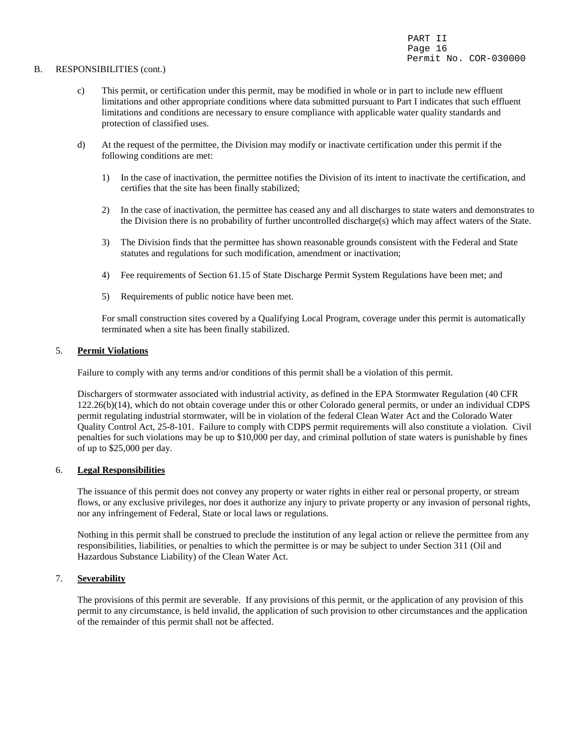#### B. RESPONSIBILITIES (cont.)

- c) This permit, or certification under this permit, may be modified in whole or in part to include new effluent limitations and other appropriate conditions where data submitted pursuant to Part I indicates that such effluent limitations and conditions are necessary to ensure compliance with applicable water quality standards and protection of classified uses.
- d) At the request of the permittee, the Division may modify or inactivate certification under this permit if the following conditions are met:
	- 1) In the case of inactivation, the permittee notifies the Division of its intent to inactivate the certification, and certifies that the site has been finally stabilized;
	- 2) In the case of inactivation, the permittee has ceased any and all discharges to state waters and demonstrates to the Division there is no probability of further uncontrolled discharge(s) which may affect waters of the State.
	- 3) The Division finds that the permittee has shown reasonable grounds consistent with the Federal and State statutes and regulations for such modification, amendment or inactivation;
	- 4) Fee requirements of Section 61.15 of State Discharge Permit System Regulations have been met; and
	- 5) Requirements of public notice have been met.

 For small construction sites covered by a Qualifying Local Program, coverage under this permit is automatically terminated when a site has been finally stabilized.

## 5. **Permit Violations**

Failure to comply with any terms and/or conditions of this permit shall be a violation of this permit.

Dischargers of stormwater associated with industrial activity, as defined in the EPA Stormwater Regulation (40 CFR 122.26(b)(14), which do not obtain coverage under this or other Colorado general permits, or under an individual CDPS permit regulating industrial stormwater, will be in violation of the federal Clean Water Act and the Colorado Water Quality Control Act, 25-8-101. Failure to comply with CDPS permit requirements will also constitute a violation. Civil penalties for such violations may be up to \$10,000 per day, and criminal pollution of state waters is punishable by fines of up to \$25,000 per day.

#### 6. **Legal Responsibilities**

The issuance of this permit does not convey any property or water rights in either real or personal property, or stream flows, or any exclusive privileges, nor does it authorize any injury to private property or any invasion of personal rights, nor any infringement of Federal, State or local laws or regulations.

Nothing in this permit shall be construed to preclude the institution of any legal action or relieve the permittee from any responsibilities, liabilities, or penalties to which the permittee is or may be subject to under Section 311 (Oil and Hazardous Substance Liability) of the Clean Water Act.

## 7. **Severability**

The provisions of this permit are severable. If any provisions of this permit, or the application of any provision of this permit to any circumstance, is held invalid, the application of such provision to other circumstances and the application of the remainder of this permit shall not be affected.